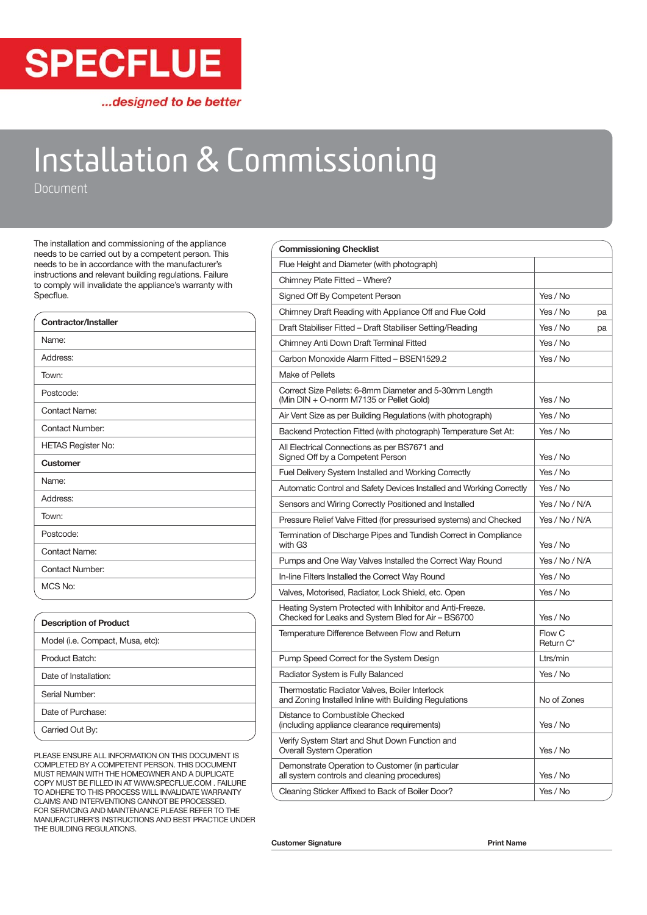

...designed to be better

# Installation & Commissioning

Document

The installation and commissioning of the appliance needs to be carried out by a competent person. This needs to be in accordance with the manufacturer's instructions and relevant building regulations. Failure to comply will invalidate the appliance's warranty with Specflue.

| Contractor/Installer      |
|---------------------------|
| Name:                     |
| Address:                  |
| Town:                     |
| Postcode:                 |
| <b>Contact Name:</b>      |
| Contact Number:           |
| <b>HETAS Register No:</b> |
| <b>Customer</b>           |
| Name:                     |
| Address:                  |
| Town:                     |
| Postcode:                 |
| <b>Contact Name:</b>      |
| <b>Contact Number:</b>    |
| MCS No:                   |

| <b>Description of Product</b>    |
|----------------------------------|
| Model (i.e. Compact, Musa, etc): |
| Product Batch:                   |
| Date of Installation:            |
| Serial Number:                   |
| Date of Purchase:                |
| Carried Out By:                  |

PLEASE ENSURE ALL INFORMATION ON THIS DOCUMENT IS COMPLETED BY A COMPETENT PERSON. THIS DOCUMENT MUST REMAIN WITH THE HOMEOWNER AND A DUPLICATE COPY MUST BE FILLED IN AT WWW.SPECFLUE.COM . FAILURE TO ADHERE TO THIS PROCESS WILL INVALIDATE WARRANTY CLAIMS AND INTERVENTIONS CANNOT BE PROCESSED. FOR SERVICING AND MAINTENANCE PLEASE REFER TO THE MANUFACTURER'S INSTRUCTIONS AND BEST PRACTICE UNDER THE BUILDING REGULATIONS.

| <b>Commissioning Checklist</b>                                                                                 |                     |    |
|----------------------------------------------------------------------------------------------------------------|---------------------|----|
| Flue Height and Diameter (with photograph)                                                                     |                     |    |
| Chimney Plate Fitted - Where?                                                                                  |                     |    |
| Signed Off By Competent Person                                                                                 | Yes / No            |    |
| Chimney Draft Reading with Appliance Off and Flue Cold                                                         | Yes / No            | pa |
| Draft Stabiliser Fitted - Draft Stabiliser Setting/Reading                                                     | Yes / No            | pa |
| Chimney Anti Down Draft Terminal Fitted                                                                        | Yes / No            |    |
| Carbon Monoxide Alarm Fitted - BSEN1529.2                                                                      | Yes / No            |    |
| Make of Pellets                                                                                                |                     |    |
| Correct Size Pellets: 6-8mm Diameter and 5-30mm Length<br>(Min DIN + O-norm M7135 or Pellet Gold)              | Yes / No            |    |
| Air Vent Size as per Building Regulations (with photograph)                                                    | Yes / No            |    |
| Backend Protection Fitted (with photograph) Temperature Set At:                                                | Yes / No            |    |
| All Electrical Connections as per BS7671 and<br>Signed Off by a Competent Person                               | Yes / No            |    |
| Fuel Delivery System Installed and Working Correctly                                                           | Yes / No            |    |
| Automatic Control and Safety Devices Installed and Working Correctly                                           | Yes / No            |    |
| Sensors and Wiring Correctly Positioned and Installed                                                          | Yes / No / N/A      |    |
| Pressure Relief Valve Fitted (for pressurised systems) and Checked                                             | Yes / No / N/A      |    |
| Termination of Discharge Pipes and Tundish Correct in Compliance<br>with G <sub>3</sub>                        | Yes / No            |    |
| Pumps and One Way Valves Installed the Correct Way Round                                                       | Yes / No / N/A      |    |
| In-line Filters Installed the Correct Way Round                                                                | Yes / No            |    |
| Valves, Motorised, Radiator, Lock Shield, etc. Open                                                            | Yes / No            |    |
| Heating System Protected with Inhibitor and Anti-Freeze.<br>Checked for Leaks and System Bled for Air - BS6700 | Yes / No            |    |
| Temperature Difference Between Flow and Return                                                                 | Flow C<br>Return C* |    |
| Pump Speed Correct for the System Design                                                                       | Ltrs/min            |    |
| Radiator System is Fully Balanced                                                                              | Yes / No            |    |
| Thermostatic Radiator Valves, Boiler Interlock<br>and Zoning Installed Inline with Building Regulations        | No of Zones         |    |
| Distance to Combustible Checked<br>(including appliance clearance requirements)                                | Yes / No            |    |
| Verify System Start and Shut Down Function and<br>Overall System Operation                                     | Yes / No            |    |
| Demonstrate Operation to Customer (in particular<br>all system controls and cleaning procedures)               | Yes / No            |    |
| Cleaning Sticker Affixed to Back of Boiler Door?                                                               | Yes / No            |    |

Customer Signature **Print Name**